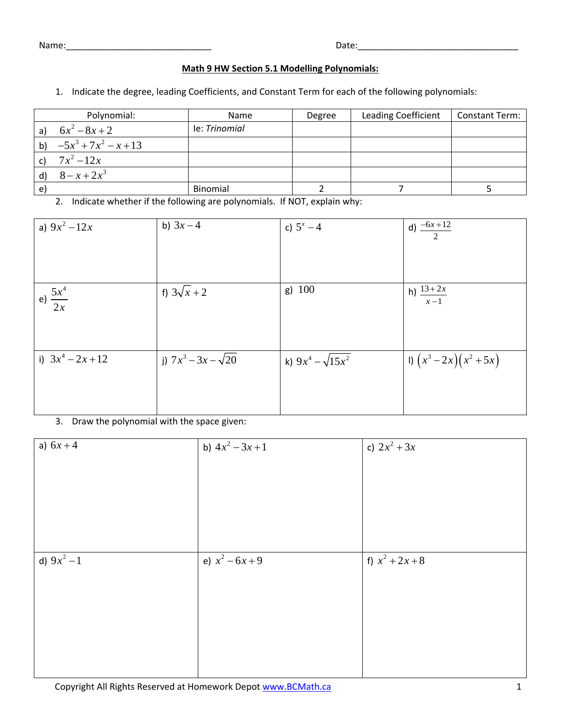Name:\_\_\_\_\_\_\_\_\_\_\_\_\_\_\_\_\_\_\_\_\_\_\_\_\_\_\_\_\_ Date:\_\_\_\_\_\_\_\_\_\_\_\_\_\_\_\_\_\_\_\_\_\_\_\_\_\_\_\_\_\_\_\_

## **Math 9 HW Section 5.1 Modelling Polynomials:**

1. Indicate the degree, leading Coefficients, and Constant Term for each of the following polynomials:

|    | Polynomial:                | <b>Name</b>   | Degree | <b>Leading Coefficient</b> | Constant Term: |
|----|----------------------------|---------------|--------|----------------------------|----------------|
|    | a) $6x^2-8x+2$             | le: Trinomial |        |                            |                |
|    | b) $-5x^3 + 7x^2 - x + 13$ |               |        |                            |                |
|    | c) $7x^2-12x$              |               |        |                            |                |
|    | $8 - x + 2x^3$             |               |        |                            |                |
| e) |                            | Binomial      |        |                            |                |

2. Indicate whether if the following are polynomials. If NOT, explain why:

| a) $9x^2 - 12x$      | b) $3x - 4$                | c) $5^x - 4$             | d) $\frac{-6x+12}{2}$  |
|----------------------|----------------------------|--------------------------|------------------------|
|                      |                            |                          |                        |
|                      |                            |                          |                        |
|                      |                            |                          |                        |
| e) $\frac{5x^4}{2x}$ | f) $3\sqrt{x} + 2$         | $g)$ 100                 | h) $\frac{13+2x}{x-1}$ |
|                      |                            |                          |                        |
|                      |                            |                          |                        |
| i) $3x^4 - 2x + 12$  | j) $7x^3 - 3x - \sqrt{20}$ | k) $9x^4 - \sqrt{15x^2}$ | 1) $(x^3-2x)(x^2+5x)$  |
|                      |                            |                          |                        |
|                      |                            |                          |                        |
|                      |                            |                          |                        |

## 3. Draw the polynomial with the space given:

| a) $6x + 4$   | b) $4x^2 - 3x + 1$ | c) $2x^2 + 3x$    |
|---------------|--------------------|-------------------|
|               |                    |                   |
|               |                    |                   |
|               |                    |                   |
|               |                    |                   |
|               |                    |                   |
| d) $9x^2 - 1$ | e) $x^2 - 6x + 9$  | f) $x^2 + 2x + 8$ |
|               |                    |                   |
|               |                    |                   |
|               |                    |                   |
|               |                    |                   |
|               |                    |                   |
|               |                    |                   |